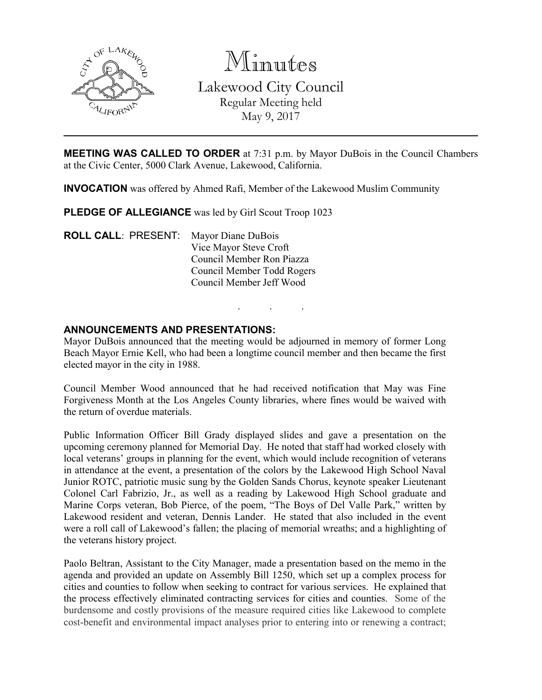

Minutes

Lakewood City Council Regular Meeting held May 9, 2017

**MEETING WAS CALLED TO ORDER** at 7:31 p.m. by Mayor DuBois in the Council Chambers at the Civic Center, 5000 Clark Avenue, Lakewood, California.

INVOCATION was offered by Ahmed Rafi, Member of the Lakewood Muslim Community

PLEDGE OF ALLEGIANCE was led by Girl Scout Troop 1023

ROLL CALL: PRESENT: Mayor Diane DuBois Vice Mayor Steve Croft Council Member Ron Piazza Council Member Todd Rogers Council Member Jeff Wood

### ANNOUNCEMENTS AND PRESENTATIONS:

Mayor DuBois announced that the meeting would be adjourned in memory of former Long Beach Mayor Ernie Kell, who had been a longtime council member and then became the first elected mayor in the city in 1988.

. . .

Council Member Wood announced that he had received notification that May was Fine Forgiveness Month at the Los Angeles County libraries, where fines would be waived with the return of overdue materials.

Public Information Officer Bill Grady displayed slides and gave a presentation on the upcoming ceremony planned for Memorial Day. He noted that staff had worked closely with local veterans' groups in planning for the event, which would include recognition of veterans in attendance at the event, a presentation of the colors by the Lakewood High School Naval Junior ROTC, patriotic music sung by the Golden Sands Chorus, keynote speaker Lieutenant Colonel Carl Fabrizio, Jr., as well as a reading by Lakewood High School graduate and Marine Corps veteran, Bob Pierce, of the poem, "The Boys of Del Valle Park," written by Lakewood resident and veteran, Dennis Lander. He stated that also included in the event were a roll call of Lakewood's fallen; the placing of memorial wreaths; and a highlighting of the veterans history project.

Paolo Beltran, Assistant to the City Manager, made a presentation based on the memo in the agenda and provided an update on Assembly Bill 1250, which set up a complex process for cities and counties to follow when seeking to contract for various services. He explained that the process effectively eliminated contracting services for cities and counties. Some of the burdensome and costly provisions of the measure required cities like Lakewood to complete cost-benefit and environmental impact analyses prior to entering into or renewing a contract;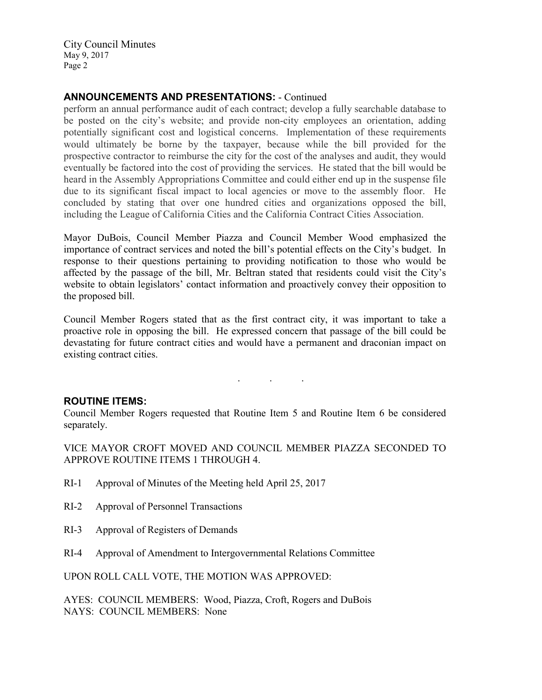# ANNOUNCEMENTS AND PRESENTATIONS: - Continued

perform an annual performance audit of each contract; develop a fully searchable database to be posted on the city's website; and provide non-city employees an orientation, adding potentially significant cost and logistical concerns. Implementation of these requirements would ultimately be borne by the taxpayer, because while the bill provided for the prospective contractor to reimburse the city for the cost of the analyses and audit, they would eventually be factored into the cost of providing the services. He stated that the bill would be heard in the Assembly Appropriations Committee and could either end up in the suspense file due to its significant fiscal impact to local agencies or move to the assembly floor. He concluded by stating that over one hundred cities and organizations opposed the bill, including the League of California Cities and the California Contract Cities Association.

Mayor DuBois, Council Member Piazza and Council Member Wood emphasized the importance of contract services and noted the bill's potential effects on the City's budget. In response to their questions pertaining to providing notification to those who would be affected by the passage of the bill, Mr. Beltran stated that residents could visit the City's website to obtain legislators' contact information and proactively convey their opposition to the proposed bill.

Council Member Rogers stated that as the first contract city, it was important to take a proactive role in opposing the bill. He expressed concern that passage of the bill could be devastating for future contract cities and would have a permanent and draconian impact on existing contract cities.

#### ROUTINE ITEMS:

Council Member Rogers requested that Routine Item 5 and Routine Item 6 be considered separately.

. . .

VICE MAYOR CROFT MOVED AND COUNCIL MEMBER PIAZZA SECONDED TO APPROVE ROUTINE ITEMS 1 THROUGH 4.

- RI-1 Approval of Minutes of the Meeting held April 25, 2017
- RI-2 Approval of Personnel Transactions
- RI-3 Approval of Registers of Demands
- RI-4 Approval of Amendment to Intergovernmental Relations Committee

UPON ROLL CALL VOTE, THE MOTION WAS APPROVED:

AYES: COUNCIL MEMBERS: Wood, Piazza, Croft, Rogers and DuBois NAYS: COUNCIL MEMBERS: None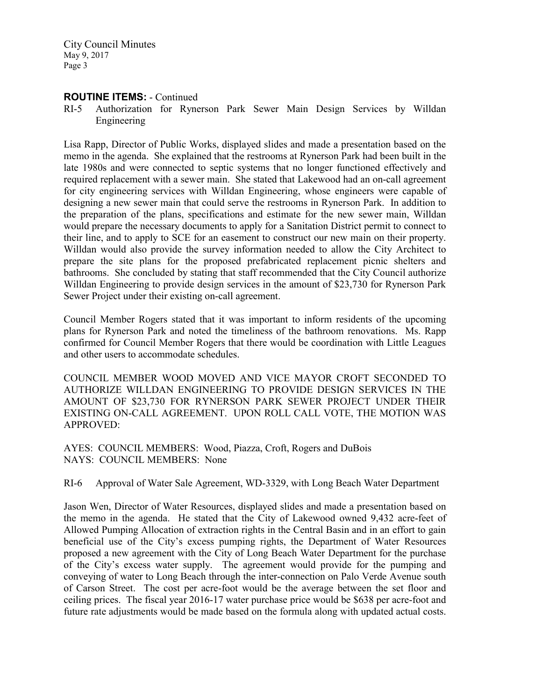## ROUTINE ITEMS: - Continued

RI-5 Authorization for Rynerson Park Sewer Main Design Services by Willdan Engineering

Lisa Rapp, Director of Public Works, displayed slides and made a presentation based on the memo in the agenda. She explained that the restrooms at Rynerson Park had been built in the late 1980s and were connected to septic systems that no longer functioned effectively and required replacement with a sewer main. She stated that Lakewood had an on-call agreement for city engineering services with Willdan Engineering, whose engineers were capable of designing a new sewer main that could serve the restrooms in Rynerson Park. In addition to the preparation of the plans, specifications and estimate for the new sewer main, Willdan would prepare the necessary documents to apply for a Sanitation District permit to connect to their line, and to apply to SCE for an easement to construct our new main on their property. Willdan would also provide the survey information needed to allow the City Architect to prepare the site plans for the proposed prefabricated replacement picnic shelters and bathrooms. She concluded by stating that staff recommended that the City Council authorize Willdan Engineering to provide design services in the amount of \$23,730 for Rynerson Park Sewer Project under their existing on-call agreement.

Council Member Rogers stated that it was important to inform residents of the upcoming plans for Rynerson Park and noted the timeliness of the bathroom renovations. Ms. Rapp confirmed for Council Member Rogers that there would be coordination with Little Leagues and other users to accommodate schedules.

COUNCIL MEMBER WOOD MOVED AND VICE MAYOR CROFT SECONDED TO AUTHORIZE WILLDAN ENGINEERING TO PROVIDE DESIGN SERVICES IN THE AMOUNT OF \$23,730 FOR RYNERSON PARK SEWER PROJECT UNDER THEIR EXISTING ON-CALL AGREEMENT. UPON ROLL CALL VOTE, THE MOTION WAS APPROVED:

AYES: COUNCIL MEMBERS: Wood, Piazza, Croft, Rogers and DuBois NAYS: COUNCIL MEMBERS: None

RI-6 Approval of Water Sale Agreement, WD-3329, with Long Beach Water Department

Jason Wen, Director of Water Resources, displayed slides and made a presentation based on the memo in the agenda. He stated that the City of Lakewood owned 9,432 acre-feet of Allowed Pumping Allocation of extraction rights in the Central Basin and in an effort to gain beneficial use of the City's excess pumping rights, the Department of Water Resources proposed a new agreement with the City of Long Beach Water Department for the purchase of the City's excess water supply. The agreement would provide for the pumping and conveying of water to Long Beach through the inter-connection on Palo Verde Avenue south of Carson Street. The cost per acre-foot would be the average between the set floor and ceiling prices. The fiscal year 2016-17 water purchase price would be \$638 per acre-foot and future rate adjustments would be made based on the formula along with updated actual costs.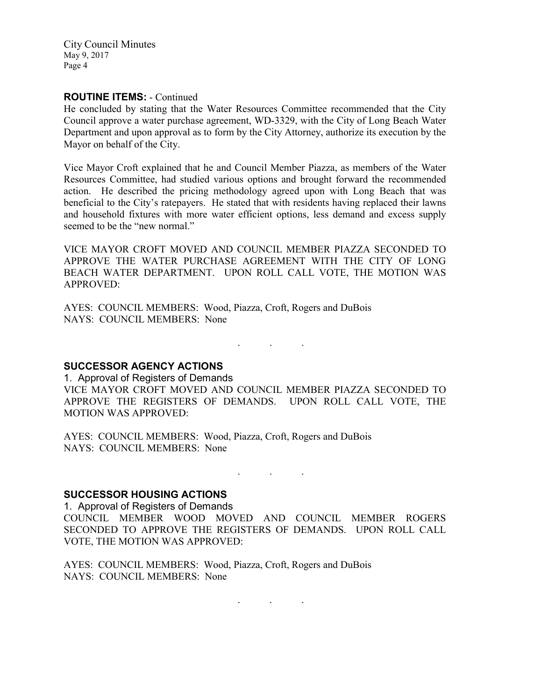### ROUTINE ITEMS: - Continued

He concluded by stating that the Water Resources Committee recommended that the City Council approve a water purchase agreement, WD-3329, with the City of Long Beach Water Department and upon approval as to form by the City Attorney, authorize its execution by the Mayor on behalf of the City.

Vice Mayor Croft explained that he and Council Member Piazza, as members of the Water Resources Committee, had studied various options and brought forward the recommended action. He described the pricing methodology agreed upon with Long Beach that was beneficial to the City's ratepayers. He stated that with residents having replaced their lawns and household fixtures with more water efficient options, less demand and excess supply seemed to be the "new normal."

VICE MAYOR CROFT MOVED AND COUNCIL MEMBER PIAZZA SECONDED TO APPROVE THE WATER PURCHASE AGREEMENT WITH THE CITY OF LONG BEACH WATER DEPARTMENT. UPON ROLL CALL VOTE, THE MOTION WAS APPROVED:

AYES: COUNCIL MEMBERS: Wood, Piazza, Croft, Rogers and DuBois NAYS: COUNCIL MEMBERS: None

SUCCESSOR AGENCY ACTIONS

1. Approval of Registers of Demands VICE MAYOR CROFT MOVED AND COUNCIL MEMBER PIAZZA SECONDED TO APPROVE THE REGISTERS OF DEMANDS. UPON ROLL CALL VOTE, THE MOTION WAS APPROVED:

. . .

AYES: COUNCIL MEMBERS: Wood, Piazza, Croft, Rogers and DuBois NAYS: COUNCIL MEMBERS: None

#### SUCCESSOR HOUSING ACTIONS

1. Approval of Registers of Demands COUNCIL MEMBER WOOD MOVED AND COUNCIL MEMBER ROGERS SECONDED TO APPROVE THE REGISTERS OF DEMANDS. UPON ROLL CALL VOTE, THE MOTION WAS APPROVED:

. The same is a set of  $\mathcal{L}^{\mathcal{L}}$  , where  $\mathcal{L}^{\mathcal{L}}$ 

AYES: COUNCIL MEMBERS: Wood, Piazza, Croft, Rogers and DuBois NAYS: COUNCIL MEMBERS: None

 $\mathbf{r}$  .  $\mathbf{r}$  ,  $\mathbf{r}$  ,  $\mathbf{r}$  ,  $\mathbf{r}$  ,  $\mathbf{r}$  ,  $\mathbf{r}$  ,  $\mathbf{r}$